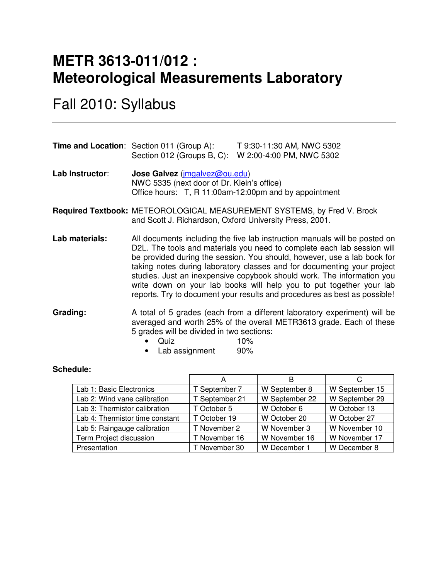# **METR 3613-011/012 : Meteorological Measurements Laboratory**

Fall 2010: Syllabus

|                 | <b>Time and Location:</b> Section 011 (Group A):<br>Section 012 (Groups B, C):              | T 9:30-11:30 AM, NWC 5302<br>W 2:00-4:00 PM, NWC 5302 |
|-----------------|---------------------------------------------------------------------------------------------|-------------------------------------------------------|
| Lab Instructor: | <b>Jose Galvez</b> ( <i>imgalvez@ou.edu</i> )<br>NWC 5335 (next door of Dr. Klein's office) |                                                       |

Office hours: T, R 11:00am-12:00pm and by appointment

**Required Textbook:** METEOROLOGICAL MEASUREMENT SYSTEMS, by Fred V. Brock and Scott J. Richardson, Oxford University Press, 2001.

**Lab materials:** All documents including the five lab instruction manuals will be posted on D2L. The tools and materials you need to complete each lab session will be provided during the session. You should, however, use a lab book for taking notes during laboratory classes and for documenting your project studies. Just an inexpensive copybook should work. The information you write down on your lab books will help you to put together your lab reports. Try to document your results and procedures as best as possible!

**Grading:** A total of 5 grades (each from a different laboratory experiment) will be averaged and worth 25% of the overall METR3613 grade. Each of these 5 grades will be divided in two sections:

- Quiz 10%
- Lab assignment 90%

#### **Schedule:**

|                                 | Α              |                |                |
|---------------------------------|----------------|----------------|----------------|
| Lab 1: Basic Electronics        | T September 7  | W September 8  | W September 15 |
| Lab 2: Wind vane calibration    | T September 21 | W September 22 | W September 29 |
| Lab 3: Thermistor calibration   | T October 5    | W October 6    | W October 13   |
| Lab 4: Thermistor time constant | T October 19   | W October 20   | W October 27   |
| Lab 5: Raingauge calibration    | T November 2   | W November 3   | W November 10  |
| Term Project discussion         | T November 16  | W November 16  | W November 17  |
| Presentation                    | T November 30  | W December 1   | W December 8   |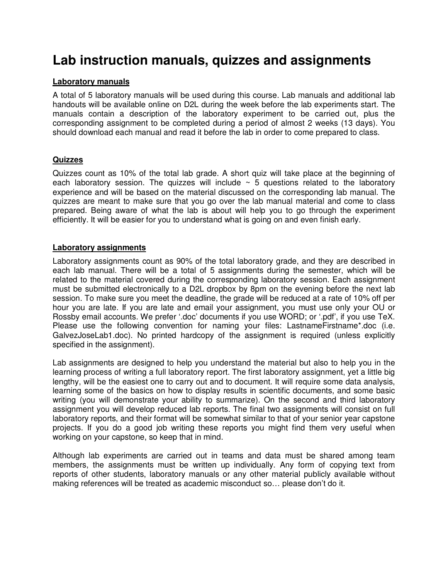# **Lab instruction manuals, quizzes and assignments**

#### **Laboratory manuals**

A total of 5 laboratory manuals will be used during this course. Lab manuals and additional lab handouts will be available online on D2L during the week before the lab experiments start. The manuals contain a description of the laboratory experiment to be carried out, plus the corresponding assignment to be completed during a period of almost 2 weeks (13 days). You should download each manual and read it before the lab in order to come prepared to class.

## **Quizzes**

Quizzes count as 10% of the total lab grade. A short quiz will take place at the beginning of each laboratory session. The quizzes will include  $\sim$  5 questions related to the laboratory experience and will be based on the material discussed on the corresponding lab manual. The quizzes are meant to make sure that you go over the lab manual material and come to class prepared. Being aware of what the lab is about will help you to go through the experiment efficiently. It will be easier for you to understand what is going on and even finish early.

#### **Laboratory assignments**

Laboratory assignments count as 90% of the total laboratory grade, and they are described in each lab manual. There will be a total of 5 assignments during the semester, which will be related to the material covered during the corresponding laboratory session. Each assignment must be submitted electronically to a D2L dropbox by 8pm on the evening before the next lab session. To make sure you meet the deadline, the grade will be reduced at a rate of 10% off per hour you are late. If you are late and email your assignment, you must use only your OU or Rossby email accounts. We prefer '.doc' documents if you use WORD; or '.pdf', if you use TeX. Please use the following convention for naming your files: LastnameFirstname\*.doc (i.e. GalvezJoseLab1.doc). No printed hardcopy of the assignment is required (unless explicitly specified in the assignment).

Lab assignments are designed to help you understand the material but also to help you in the learning process of writing a full laboratory report. The first laboratory assignment, yet a little big lengthy, will be the easiest one to carry out and to document. It will require some data analysis, learning some of the basics on how to display results in scientific documents, and some basic writing (you will demonstrate your ability to summarize). On the second and third laboratory assignment you will develop reduced lab reports. The final two assignments will consist on full laboratory reports, and their format will be somewhat similar to that of your senior year capstone projects. If you do a good job writing these reports you might find them very useful when working on your capstone, so keep that in mind.

Although lab experiments are carried out in teams and data must be shared among team members, the assignments must be written up individually. Any form of copying text from reports of other students, laboratory manuals or any other material publicly available without making references will be treated as academic misconduct so… please don't do it.